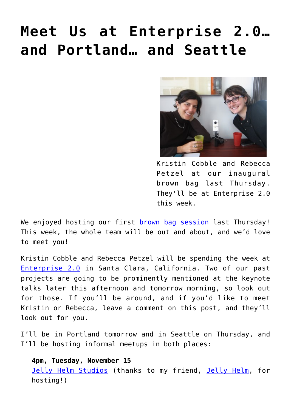## **[Meet Us at Enterprise 2.0…](https://groupaya.net/meet-us-at-enterprise-2-0-and-portland-and-seattle/) [and Portland… and Seattle](https://groupaya.net/meet-us-at-enterprise-2-0-and-portland-and-seattle/)**



Kristin Cobble and Rebecca Petzel at our inaugural brown bag last Thursday. They'll be at Enterprise 2.0 this week.

We enjoyed hosting our first **brown bag session** last Thursday! This week, the whole team will be out and about, and we'd love to meet you!

Kristin Cobble and Rebecca Petzel will be spending the week at [Enterprise 2.0](http://www.e2conf.com/santaclara/?_mc=CPHCES05) in Santa Clara, California. Two of our past projects are going to be prominently mentioned at the keynote talks later this afternoon and tomorrow morning, so look out for those. If you'll be around, and if you'd like to meet Kristin or Rebecca, leave a comment on this post, and they'll look out for you.

I'll be in Portland tomorrow and in Seattle on Thursday, and I'll be hosting informal meetups in both places:

**4pm, Tuesday, November 15** [Jelly Helm Studios](http://jellyhelmstudio.com/) (thanks to my friend, [Jelly Helm](http://studiojelly.blogspot.com/), for hosting!)